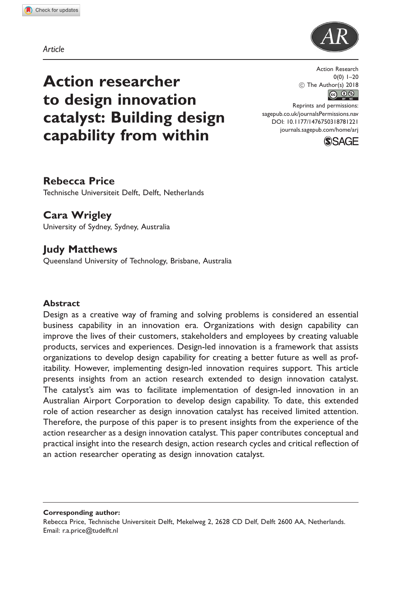Article



Action researcher to design innovation catalyst: Building design capability from within

Action Research  $0(0)$  1–20  $\circled{c}$  The Author(s) 2018

Reprints and permissions: [sagepub.co.uk/journalsPermissions.nav](http://uk.sagepub.com/en-gb/journals-permissions) [DOI: 10.1177/1476750318781221](http://dx.doi.org/10.1177/1476750318781221) <journals.sagepub.com/home/arj>



# Rebecca Price

Technische Universiteit Delft, Delft, Netherlands

# Cara Wrigley

University of Sydney, Sydney, Australia

# Judy Matthews

Queensland University of Technology, Brisbane, Australia

### Abstract

Design as a creative way of framing and solving problems is considered an essential business capability in an innovation era. Organizations with design capability can improve the lives of their customers, stakeholders and employees by creating valuable products, services and experiences. Design-led innovation is a framework that assists organizations to develop design capability for creating a better future as well as profitability. However, implementing design-led innovation requires support. This article presents insights from an action research extended to design innovation catalyst. The catalyst's aim was to facilitate implementation of design-led innovation in an Australian Airport Corporation to develop design capability. To date, this extended role of action researcher as design innovation catalyst has received limited attention. Therefore, the purpose of this paper is to present insights from the experience of the action researcher as a design innovation catalyst. This paper contributes conceptual and practical insight into the research design, action research cycles and critical reflection of an action researcher operating as design innovation catalyst.

Corresponding author:

Rebecca Price, Technische Universiteit Delft, Mekelweg 2, 2628 CD Delf, Delft 2600 AA, Netherlands. Email: [r.a.price@tudelft.nl](mailto:r.a.price@tudelft.nl)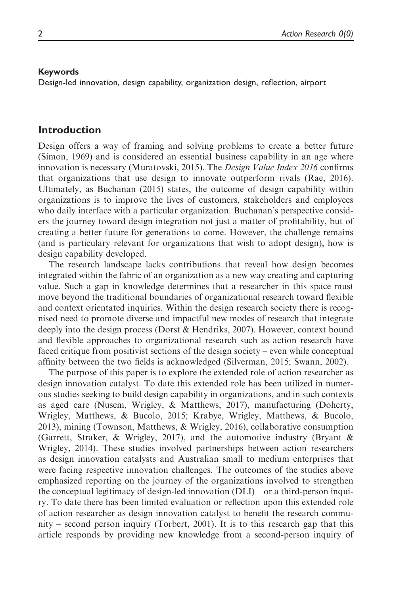#### Keywords

Design-led innovation, design capability, organization design, reflection, airport

### Introduction

Design offers a way of framing and solving problems to create a better future (Simon, 1969) and is considered an essential business capability in an age where innovation is necessary (Muratovski, 2015). The *Design Value Index 2016* confirms that organizations that use design to innovate outperform rivals (Rae, 2016). Ultimately, as Buchanan (2015) states, the outcome of design capability within organizations is to improve the lives of customers, stakeholders and employees who daily interface with a particular organization. Buchanan's perspective considers the journey toward design integration not just a matter of profitability, but of creating a better future for generations to come. However, the challenge remains (and is particulary relevant for organizations that wish to adopt design), how is design capability developed.

The research landscape lacks contributions that reveal how design becomes integrated within the fabric of an organization as a new way creating and capturing value. Such a gap in knowledge determines that a researcher in this space must move beyond the traditional boundaries of organizational research toward flexible and context orientated inquiries. Within the design research society there is recognised need to promote diverse and impactful new modes of research that integrate deeply into the design process (Dorst & Hendriks, 2007). However, context bound and flexible approaches to organizational research such as action research have faced critique from positivist sections of the design society – even while conceptual affinity between the two fields is acknowledged (Silverman, 2015; Swann, 2002).

The purpose of this paper is to explore the extended role of action researcher as design innovation catalyst. To date this extended role has been utilized in numerous studies seeking to build design capability in organizations, and in such contexts as aged care (Nusem, Wrigley, & Matthews, 2017), manufacturing (Doherty, Wrigley, Matthews, & Bucolo, 2015; Krabye, Wrigley, Matthews, & Bucolo, 2013), mining (Townson, Matthews, & Wrigley, 2016), collaborative consumption (Garrett, Straker, & Wrigley, 2017), and the automotive industry (Bryant & Wrigley, 2014). These studies involved partnerships between action researchers as design innovation catalysts and Australian small to medium enterprises that were facing respective innovation challenges. The outcomes of the studies above emphasized reporting on the journey of the organizations involved to strengthen the conceptual legitimacy of design-led innovation (DLI) – or a third-person inquiry. To date there has been limited evaluation or reflection upon this extended role of action researcher as design innovation catalyst to benefit the research community – second person inquiry (Torbert, 2001). It is to this research gap that this article responds by providing new knowledge from a second-person inquiry of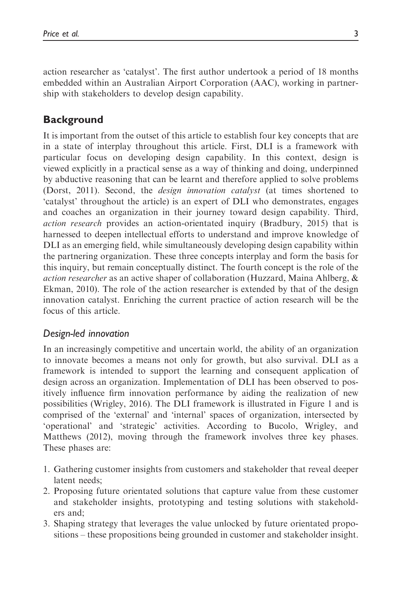action researcher as 'catalyst'. The first author undertook a period of 18 months embedded within an Australian Airport Corporation (AAC), working in partnership with stakeholders to develop design capability.

## **Background**

It is important from the outset of this article to establish four key concepts that are in a state of interplay throughout this article. First, DLI is a framework with particular focus on developing design capability. In this context, design is viewed explicitly in a practical sense as a way of thinking and doing, underpinned by abductive reasoning that can be learnt and therefore applied to solve problems (Dorst, 2011). Second, the design innovation catalyst (at times shortened to 'catalyst' throughout the article) is an expert of DLI who demonstrates, engages and coaches an organization in their journey toward design capability. Third, action research provides an action-orientated inquiry (Bradbury, 2015) that is harnessed to deepen intellectual efforts to understand and improve knowledge of DLI as an emerging field, while simultaneously developing design capability within the partnering organization. These three concepts interplay and form the basis for this inquiry, but remain conceptually distinct. The fourth concept is the role of the action researcher as an active shaper of collaboration (Huzzard, Maina Ahlberg, & Ekman, 2010). The role of the action researcher is extended by that of the design innovation catalyst. Enriching the current practice of action research will be the focus of this article.

## Design-led innovation

In an increasingly competitive and uncertain world, the ability of an organization to innovate becomes a means not only for growth, but also survival. DLI as a framework is intended to support the learning and consequent application of design across an organization. Implementation of DLI has been observed to positively influence firm innovation performance by aiding the realization of new possibilities (Wrigley, 2016). The DLI framework is illustrated in Figure 1 and is comprised of the 'external' and 'internal' spaces of organization, intersected by 'operational' and 'strategic' activities. According to Bucolo, Wrigley, and Matthews (2012), moving through the framework involves three key phases. These phases are:

- 1. Gathering customer insights from customers and stakeholder that reveal deeper latent needs;
- 2. Proposing future orientated solutions that capture value from these customer and stakeholder insights, prototyping and testing solutions with stakeholders and;
- 3. Shaping strategy that leverages the value unlocked by future orientated propositions – these propositions being grounded in customer and stakeholder insight.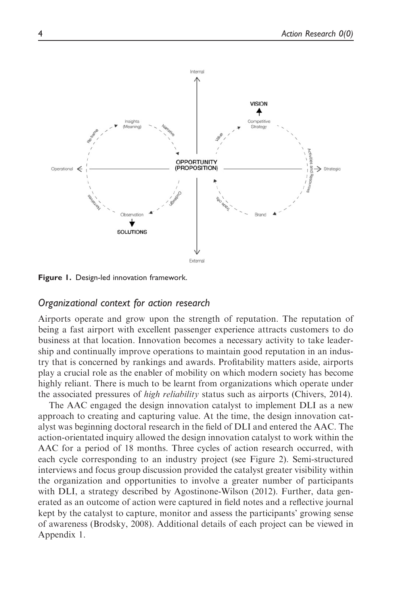

Figure 1. Design-led innovation framework.

## Organizational context for action research

Airports operate and grow upon the strength of reputation. The reputation of being a fast airport with excellent passenger experience attracts customers to do business at that location. Innovation becomes a necessary activity to take leadership and continually improve operations to maintain good reputation in an industry that is concerned by rankings and awards. Profitability matters aside, airports play a crucial role as the enabler of mobility on which modern society has become highly reliant. There is much to be learnt from organizations which operate under the associated pressures of *high reliability* status such as airports (Chivers, 2014).

The AAC engaged the design innovation catalyst to implement DLI as a new approach to creating and capturing value. At the time, the design innovation catalyst was beginning doctoral research in the field of DLI and entered the AAC. The action-orientated inquiry allowed the design innovation catalyst to work within the AAC for a period of 18 months. Three cycles of action research occurred, with each cycle corresponding to an industry project (see Figure 2). Semi-structured interviews and focus group discussion provided the catalyst greater visibility within the organization and opportunities to involve a greater number of participants with DLI, a strategy described by Agostinone-Wilson (2012). Further, data generated as an outcome of action were captured in field notes and a reflective journal kept by the catalyst to capture, monitor and assess the participants' growing sense of awareness (Brodsky, 2008). Additional details of each project can be viewed in Appendix 1.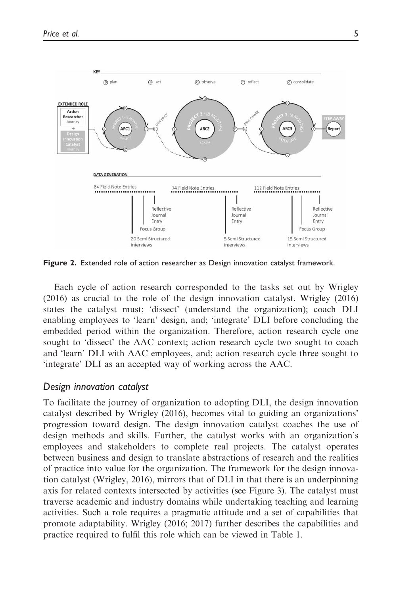

Figure 2. Extended role of action researcher as Design innovation catalyst framework.

Each cycle of action research corresponded to the tasks set out by Wrigley (2016) as crucial to the role of the design innovation catalyst. Wrigley (2016) states the catalyst must; 'dissect' (understand the organization); coach DLI enabling employees to 'learn' design, and; 'integrate' DLI before concluding the embedded period within the organization. Therefore, action research cycle one sought to 'dissect' the AAC context; action research cycle two sought to coach and 'learn' DLI with AAC employees, and; action research cycle three sought to 'integrate' DLI as an accepted way of working across the AAC.

#### Design innovation catalyst

To facilitate the journey of organization to adopting DLI, the design innovation catalyst described by Wrigley (2016), becomes vital to guiding an organizations' progression toward design. The design innovation catalyst coaches the use of design methods and skills. Further, the catalyst works with an organization's employees and stakeholders to complete real projects. The catalyst operates between business and design to translate abstractions of research and the realities of practice into value for the organization. The framework for the design innovation catalyst (Wrigley, 2016), mirrors that of DLI in that there is an underpinning axis for related contexts intersected by activities (see Figure 3). The catalyst must traverse academic and industry domains while undertaking teaching and learning activities. Such a role requires a pragmatic attitude and a set of capabilities that promote adaptability. Wrigley (2016; 2017) further describes the capabilities and practice required to fulfil this role which can be viewed in Table 1.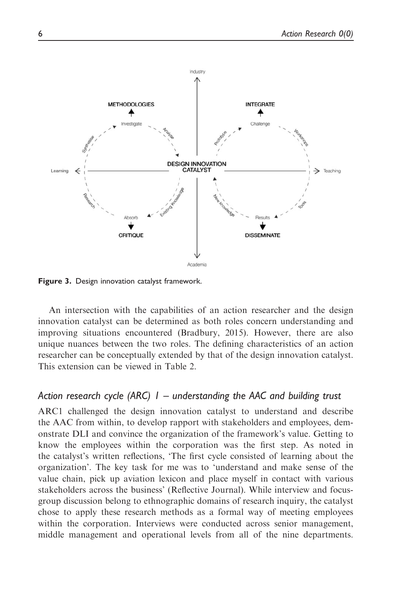

Figure 3. Design innovation catalyst framework.

An intersection with the capabilities of an action researcher and the design innovation catalyst can be determined as both roles concern understanding and improving situations encountered (Bradbury, 2015). However, there are also unique nuances between the two roles. The defining characteristics of an action researcher can be conceptually extended by that of the design innovation catalyst. This extension can be viewed in Table 2.

#### Action research cycle (ARC)  $I$  – understanding the AAC and building trust

ARC1 challenged the design innovation catalyst to understand and describe the AAC from within, to develop rapport with stakeholders and employees, demonstrate DLI and convince the organization of the framework's value. Getting to know the employees within the corporation was the first step. As noted in the catalyst's written reflections, 'The first cycle consisted of learning about the organization'. The key task for me was to 'understand and make sense of the value chain, pick up aviation lexicon and place myself in contact with various stakeholders across the business' (Reflective Journal). While interview and focusgroup discussion belong to ethnographic domains of research inquiry, the catalyst chose to apply these research methods as a formal way of meeting employees within the corporation. Interviews were conducted across senior management, middle management and operational levels from all of the nine departments.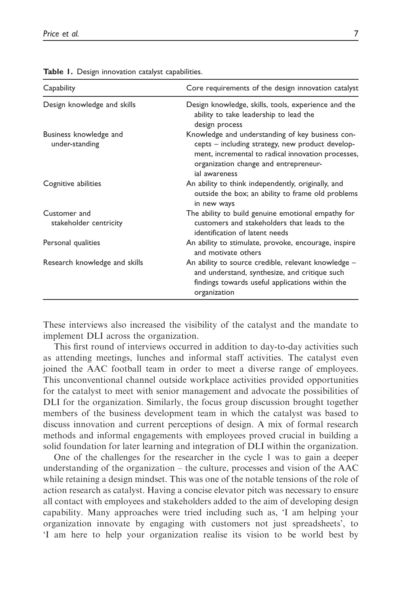| Capability                               | Core requirements of the design innovation catalyst                                                                                                                                                                  |
|------------------------------------------|----------------------------------------------------------------------------------------------------------------------------------------------------------------------------------------------------------------------|
| Design knowledge and skills              | Design knowledge, skills, tools, experience and the<br>ability to take leadership to lead the<br>design process                                                                                                      |
| Business knowledge and<br>under-standing | Knowledge and understanding of key business con-<br>cepts - including strategy, new product develop-<br>ment, incremental to radical innovation processes,<br>organization change and entrepreneur-<br>ial awareness |
| Cognitive abilities                      | An ability to think independently, originally, and<br>outside the box; an ability to frame old problems<br>in new ways                                                                                               |
| Customer and<br>stakeholder centricity   | The ability to build genuine emotional empathy for<br>customers and stakeholders that leads to the<br>identification of latent needs                                                                                 |
| Personal qualities                       | An ability to stimulate, provoke, encourage, inspire<br>and motivate others                                                                                                                                          |
| Research knowledge and skills            | An ability to source credible, relevant knowledge –<br>and understand, synthesize, and critique such<br>findings towards useful applications within the<br>organization                                              |

Table 1. Design innovation catalyst capabilities.

These interviews also increased the visibility of the catalyst and the mandate to implement DLI across the organization.

This first round of interviews occurred in addition to day-to-day activities such as attending meetings, lunches and informal staff activities. The catalyst even joined the AAC football team in order to meet a diverse range of employees. This unconventional channel outside workplace activities provided opportunities for the catalyst to meet with senior management and advocate the possibilities of DLI for the organization. Similarly, the focus group discussion brought together members of the business development team in which the catalyst was based to discuss innovation and current perceptions of design. A mix of formal research methods and informal engagements with employees proved crucial in building a solid foundation for later learning and integration of DLI within the organization.

One of the challenges for the researcher in the cycle 1 was to gain a deeper understanding of the organization – the culture, processes and vision of the  $AAC$ while retaining a design mindset. This was one of the notable tensions of the role of action research as catalyst. Having a concise elevator pitch was necessary to ensure all contact with employees and stakeholders added to the aim of developing design capability. Many approaches were tried including such as, 'I am helping your organization innovate by engaging with customers not just spreadsheets', to 'I am here to help your organization realise its vision to be world best by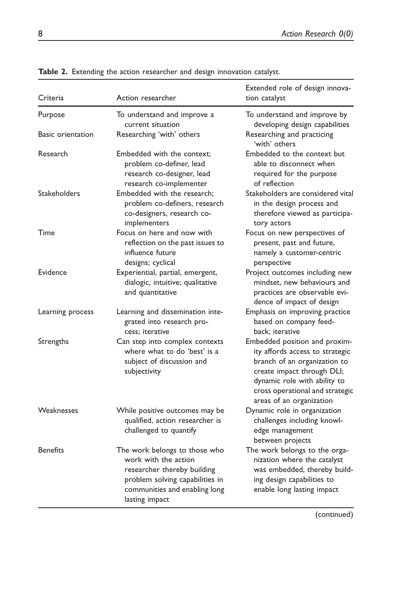| Criteria                     | Action researcher                                                                                                                                                          | Extended role of design innova-<br>tion catalyst                                                                                                                                                                              |
|------------------------------|----------------------------------------------------------------------------------------------------------------------------------------------------------------------------|-------------------------------------------------------------------------------------------------------------------------------------------------------------------------------------------------------------------------------|
| Purpose<br>Basic orientation | To understand and improve a<br>current situation<br>Researching 'with' others                                                                                              | To understand and improve by<br>developing design capabilities<br>Researching and practicing                                                                                                                                  |
| Research                     | Embedded with the context;<br>problem co-definer, lead<br>research co-designer, lead<br>research co-implementer                                                            | 'with' others<br>Embedded to the context but<br>able to disconnect when<br>required for the purpose<br>of reflection                                                                                                          |
| Stakeholders                 | Embedded with the research;<br>problem co-definers, research<br>co-designers, research co-<br>implementers                                                                 | Stakeholders are considered vital<br>in the design process and<br>therefore viewed as participa-<br>tory actors                                                                                                               |
| Time                         | Focus on here and now with<br>reflection on the past issues to<br>influence future<br>designs; cyclical                                                                    | Focus on new perspectives of<br>present, past and future,<br>namely a customer-centric<br>perspective                                                                                                                         |
| Evidence                     | Experiential, partial, emergent,<br>dialogic, intuitive; qualitative<br>and quantitative                                                                                   | Project outcomes including new<br>mindset, new behaviours and<br>practices are observable evi-<br>dence of impact of design                                                                                                   |
| Learning process             | Learning and dissemination inte-<br>grated into research pro-<br>cess; iterative                                                                                           | Emphasis on improving practice<br>based on company feed-<br>back; iterative                                                                                                                                                   |
| Strengths                    | Can step into complex contexts<br>where what to do 'best' is a<br>subject of discussion and<br>subjectivity                                                                | Embedded position and proxim-<br>ity affords access to strategic<br>branch of an organization to<br>create impact through DLI;<br>dynamic role with ability to<br>cross operational and strategic<br>areas of an organization |
| Weaknesses                   | While positive outcomes may be<br>qualified, action researcher is<br>challenged to quantify                                                                                | Dynamic role in organization<br>challenges including knowl-<br>edge management<br>between projects                                                                                                                            |
| <b>Benefits</b>              | The work belongs to those who<br>work with the action<br>researcher thereby building<br>problem solving capabilities in<br>communities and enabling long<br>lasting impact | The work belongs to the orga-<br>nization where the catalyst<br>was embedded, thereby build-<br>ing design capabilities to<br>enable long lasting impact                                                                      |

Table 2. Extending the action researcher and design innovation catalyst.

(continued)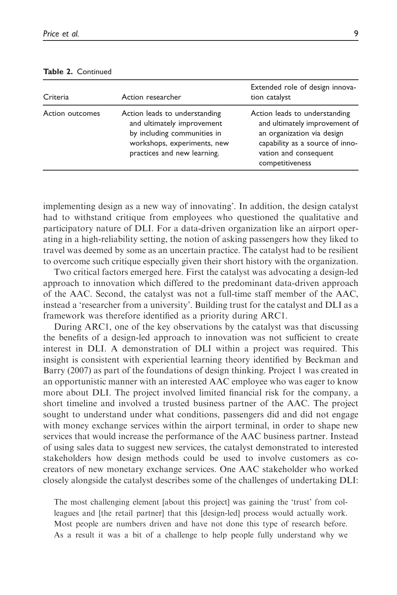| Criteria        | Action researcher                                                                                                                                        | Extended role of design innova-<br>tion catalyst                                                                                                                            |
|-----------------|----------------------------------------------------------------------------------------------------------------------------------------------------------|-----------------------------------------------------------------------------------------------------------------------------------------------------------------------------|
| Action outcomes | Action leads to understanding<br>and ultimately improvement<br>by including communities in<br>workshops, experiments, new<br>practices and new learning. | Action leads to understanding<br>and ultimately improvement of<br>an organization via design<br>capability as a source of inno-<br>vation and consequent<br>competitiveness |

|  | Table 2. Continued |  |
|--|--------------------|--|
|  |                    |  |

implementing design as a new way of innovating'. In addition, the design catalyst had to withstand critique from employees who questioned the qualitative and participatory nature of DLI. For a data-driven organization like an airport operating in a high-reliability setting, the notion of asking passengers how they liked to travel was deemed by some as an uncertain practice. The catalyst had to be resilient to overcome such critique especially given their short history with the organization.

Two critical factors emerged here. First the catalyst was advocating a design-led approach to innovation which differed to the predominant data-driven approach of the AAC. Second, the catalyst was not a full-time staff member of the AAC, instead a 'researcher from a university'. Building trust for the catalyst and DLI as a framework was therefore identified as a priority during ARC1.

During ARC1, one of the key observations by the catalyst was that discussing the benefits of a design-led approach to innovation was not sufficient to create interest in DLI. A demonstration of DLI within a project was required. This insight is consistent with experiential learning theory identified by Beckman and Barry (2007) as part of the foundations of design thinking. Project 1 was created in an opportunistic manner with an interested AAC employee who was eager to know more about DLI. The project involved limited financial risk for the company, a short timeline and involved a trusted business partner of the AAC. The project sought to understand under what conditions, passengers did and did not engage with money exchange services within the airport terminal, in order to shape new services that would increase the performance of the AAC business partner. Instead of using sales data to suggest new services, the catalyst demonstrated to interested stakeholders how design methods could be used to involve customers as cocreators of new monetary exchange services. One AAC stakeholder who worked closely alongside the catalyst describes some of the challenges of undertaking DLI:

The most challenging element [about this project] was gaining the 'trust' from colleagues and [the retail partner] that this [design-led] process would actually work. Most people are numbers driven and have not done this type of research before. As a result it was a bit of a challenge to help people fully understand why we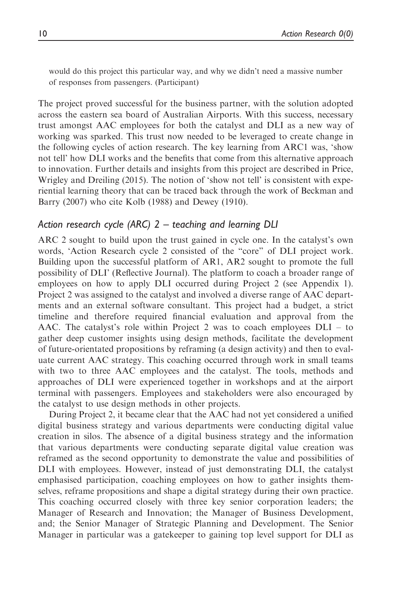would do this project this particular way, and why we didn't need a massive number of responses from passengers. (Participant)

The project proved successful for the business partner, with the solution adopted across the eastern sea board of Australian Airports. With this success, necessary trust amongst AAC employees for both the catalyst and DLI as a new way of working was sparked. This trust now needed to be leveraged to create change in the following cycles of action research. The key learning from ARC1 was, 'show not tell' how DLI works and the benefits that come from this alternative approach to innovation. Further details and insights from this project are described in Price, Wrigley and Dreiling (2015). The notion of 'show not tell' is consistent with experiential learning theory that can be traced back through the work of Beckman and Barry (2007) who cite Kolb (1988) and Dewey (1910).

## Action research cycle (ARC) 2 – teaching and learning DLI

ARC 2 sought to build upon the trust gained in cycle one. In the catalyst's own words, 'Action Research cycle 2 consisted of the "core" of DLI project work. Building upon the successful platform of AR1, AR2 sought to promote the full possibility of DLI' (Reflective Journal). The platform to coach a broader range of employees on how to apply DLI occurred during Project 2 (see Appendix 1). Project 2 was assigned to the catalyst and involved a diverse range of AAC departments and an external software consultant. This project had a budget, a strict timeline and therefore required financial evaluation and approval from the AAC. The catalyst's role within Project 2 was to coach employees DLI – to gather deep customer insights using design methods, facilitate the development of future-orientated propositions by reframing (a design activity) and then to evaluate current AAC strategy. This coaching occurred through work in small teams with two to three AAC employees and the catalyst. The tools, methods and approaches of DLI were experienced together in workshops and at the airport terminal with passengers. Employees and stakeholders were also encouraged by the catalyst to use design methods in other projects.

During Project 2, it became clear that the AAC had not yet considered a unified digital business strategy and various departments were conducting digital value creation in silos. The absence of a digital business strategy and the information that various departments were conducting separate digital value creation was reframed as the second opportunity to demonstrate the value and possibilities of DLI with employees. However, instead of just demonstrating DLI, the catalyst emphasised participation, coaching employees on how to gather insights themselves, reframe propositions and shape a digital strategy during their own practice. This coaching occurred closely with three key senior corporation leaders; the Manager of Research and Innovation; the Manager of Business Development, and; the Senior Manager of Strategic Planning and Development. The Senior Manager in particular was a gatekeeper to gaining top level support for DLI as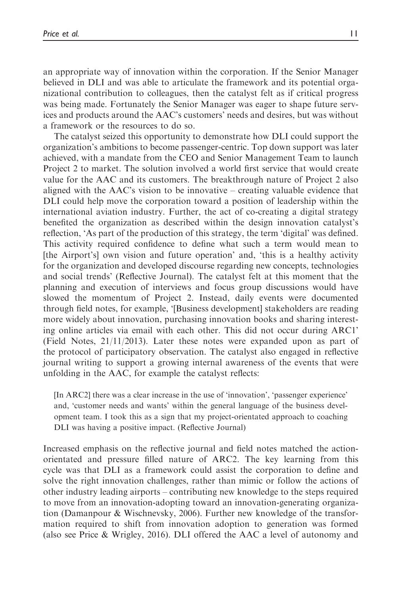an appropriate way of innovation within the corporation. If the Senior Manager believed in DLI and was able to articulate the framework and its potential organizational contribution to colleagues, then the catalyst felt as if critical progress was being made. Fortunately the Senior Manager was eager to shape future services and products around the AAC's customers' needs and desires, but was without a framework or the resources to do so.

The catalyst seized this opportunity to demonstrate how DLI could support the organization's ambitions to become passenger-centric. Top down support was later achieved, with a mandate from the CEO and Senior Management Team to launch Project 2 to market. The solution involved a world first service that would create value for the AAC and its customers. The breakthrough nature of Project 2 also aligned with the AAC's vision to be innovative – creating valuable evidence that DLI could help move the corporation toward a position of leadership within the international aviation industry. Further, the act of co-creating a digital strategy benefited the organization as described within the design innovation catalyst's reflection, 'As part of the production of this strategy, the term 'digital' was defined. This activity required confidence to define what such a term would mean to [the Airport's] own vision and future operation' and, 'this is a healthy activity for the organization and developed discourse regarding new concepts, technologies and social trends' (Reflective Journal). The catalyst felt at this moment that the planning and execution of interviews and focus group discussions would have slowed the momentum of Project 2. Instead, daily events were documented through field notes, for example, '[Business development] stakeholders are reading more widely about innovation, purchasing innovation books and sharing interesting online articles via email with each other. This did not occur during ARC1' (Field Notes, 21/11/2013). Later these notes were expanded upon as part of the protocol of participatory observation. The catalyst also engaged in reflective journal writing to support a growing internal awareness of the events that were unfolding in the AAC, for example the catalyst reflects:

[In ARC2] there was a clear increase in the use of 'innovation', 'passenger experience' and, 'customer needs and wants' within the general language of the business development team. I took this as a sign that my project-orientated approach to coaching DLI was having a positive impact. (Reflective Journal)

Increased emphasis on the reflective journal and field notes matched the actionorientated and pressure filled nature of ARC2. The key learning from this cycle was that DLI as a framework could assist the corporation to define and solve the right innovation challenges, rather than mimic or follow the actions of other industry leading airports – contributing new knowledge to the steps required to move from an innovation-adopting toward an innovation-generating organization (Damanpour & Wischnevsky, 2006). Further new knowledge of the transformation required to shift from innovation adoption to generation was formed (also see Price & Wrigley, 2016). DLI offered the AAC a level of autonomy and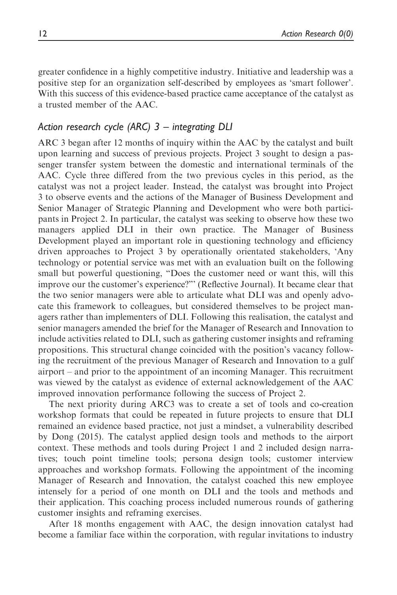greater confidence in a highly competitive industry. Initiative and leadership was a positive step for an organization self-described by employees as 'smart follower'. With this success of this evidence-based practice came acceptance of the catalyst as a trusted member of the AAC.

### Action research cycle (ARC) 3 – integrating DLI

ARC 3 began after 12 months of inquiry within the AAC by the catalyst and built upon learning and success of previous projects. Project 3 sought to design a passenger transfer system between the domestic and international terminals of the AAC. Cycle three differed from the two previous cycles in this period, as the catalyst was not a project leader. Instead, the catalyst was brought into Project 3 to observe events and the actions of the Manager of Business Development and Senior Manager of Strategic Planning and Development who were both participants in Project 2. In particular, the catalyst was seeking to observe how these two managers applied DLI in their own practice. The Manager of Business Development played an important role in questioning technology and efficiency driven approaches to Project 3 by operationally orientated stakeholders, 'Any technology or potential service was met with an evaluation built on the following small but powerful questioning, "Does the customer need or want this, will this improve our the customer's experience?"' (Reflective Journal). It became clear that the two senior managers were able to articulate what DLI was and openly advocate this framework to colleagues, but considered themselves to be project managers rather than implementers of DLI. Following this realisation, the catalyst and senior managers amended the brief for the Manager of Research and Innovation to include activities related to DLI, such as gathering customer insights and reframing propositions. This structural change coincided with the position's vacancy following the recruitment of the previous Manager of Research and Innovation to a gulf airport – and prior to the appointment of an incoming Manager. This recruitment was viewed by the catalyst as evidence of external acknowledgement of the AAC improved innovation performance following the success of Project 2.

The next priority during ARC3 was to create a set of tools and co-creation workshop formats that could be repeated in future projects to ensure that DLI remained an evidence based practice, not just a mindset, a vulnerability described by Dong (2015). The catalyst applied design tools and methods to the airport context. These methods and tools during Project 1 and 2 included design narratives; touch point timeline tools; persona design tools; customer interview approaches and workshop formats. Following the appointment of the incoming Manager of Research and Innovation, the catalyst coached this new employee intensely for a period of one month on DLI and the tools and methods and their application. This coaching process included numerous rounds of gathering customer insights and reframing exercises.

After 18 months engagement with AAC, the design innovation catalyst had become a familiar face within the corporation, with regular invitations to industry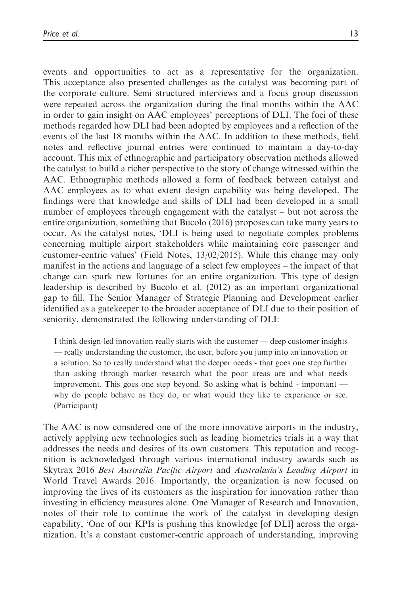events and opportunities to act as a representative for the organization. This acceptance also presented challenges as the catalyst was becoming part of the corporate culture. Semi structured interviews and a focus group discussion were repeated across the organization during the final months within the AAC in order to gain insight on AAC employees' perceptions of DLI. The foci of these methods regarded how DLI had been adopted by employees and a reflection of the events of the last 18 months within the AAC. In addition to these methods, field notes and reflective journal entries were continued to maintain a day-to-day account. This mix of ethnographic and participatory observation methods allowed the catalyst to build a richer perspective to the story of change witnessed within the AAC. Ethnographic methods allowed a form of feedback between catalyst and AAC employees as to what extent design capability was being developed. The findings were that knowledge and skills of DLI had been developed in a small number of employees through engagement with the catalyst – but not across the entire organization, something that Bucolo (2016) proposes can take many years to occur. As the catalyst notes, 'DLI is being used to negotiate complex problems concerning multiple airport stakeholders while maintaining core passenger and customer-centric values' (Field Notes, 13/02/2015). While this change may only manifest in the actions and language of a select few employees – the impact of that change can spark new fortunes for an entire organization. This type of design leadership is described by Bucolo et al. (2012) as an important organizational gap to fill. The Senior Manager of Strategic Planning and Development earlier identified as a gatekeeper to the broader acceptance of DLI due to their position of seniority, demonstrated the following understanding of DLI:

I think design-led innovation really starts with the customer — deep customer insights — really understanding the customer, the user, before you jump into an innovation or a solution. So to really understand what the deeper needs - that goes one step further than asking through market research what the poor areas are and what needs improvement. This goes one step beyond. So asking what is behind - important why do people behave as they do, or what would they like to experience or see. (Participant)

The AAC is now considered one of the more innovative airports in the industry, actively applying new technologies such as leading biometrics trials in a way that addresses the needs and desires of its own customers. This reputation and recognition is acknowledged through various international industry awards such as Skytrax 2016 Best Australia Pacific Airport and Australasia's Leading Airport in World Travel Awards 2016. Importantly, the organization is now focused on improving the lives of its customers as the inspiration for innovation rather than investing in efficiency measures alone. One Manager of Research and Innovation, notes of their role to continue the work of the catalyst in developing design capability, 'One of our KPIs is pushing this knowledge [of DLI] across the organization. It's a constant customer-centric approach of understanding, improving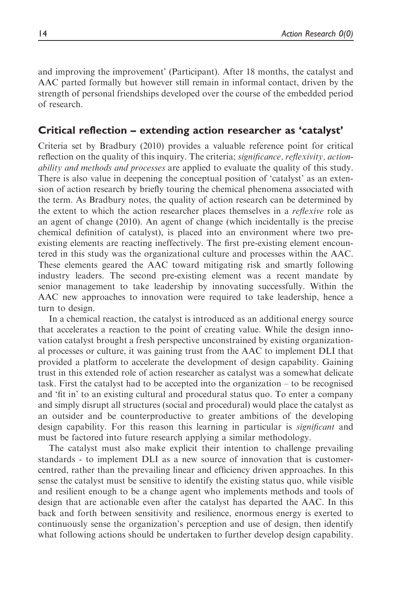and improving the improvement' (Participant). After 18 months, the catalyst and AAC parted formally but however still remain in informal contact, driven by the strength of personal friendships developed over the course of the embedded period of research.

## Critical reflection – extending action researcher as 'catalyst'

Criteria set by Bradbury (2010) provides a valuable reference point for critical reflection on the quality of this inquiry. The criteria; *significance*, *reflexivity*, *action*ability and methods and processes are applied to evaluate the quality of this study. There is also value in deepening the conceptual position of 'catalyst' as an extension of action research by briefly touring the chemical phenomena associated with the term. As Bradbury notes, the quality of action research can be determined by the extent to which the action researcher places themselves in a *reflexive* role as an agent of change (2010). An agent of change (which incidentally is the precise chemical definition of catalyst), is placed into an environment where two preexisting elements are reacting ineffectively. The first pre-existing element encountered in this study was the organizational culture and processes within the AAC. These elements geared the AAC toward mitigating risk and smartly following industry leaders. The second pre-existing element was a recent mandate by senior management to take leadership by innovating successfully. Within the AAC new approaches to innovation were required to take leadership, hence a turn to design.

In a chemical reaction, the catalyst is introduced as an additional energy source that accelerates a reaction to the point of creating value. While the design innovation catalyst brought a fresh perspective unconstrained by existing organizational processes or culture, it was gaining trust from the AAC to implement DLI that provided a platform to accelerate the development of design capability. Gaining trust in this extended role of action researcher as catalyst was a somewhat delicate task. First the catalyst had to be accepted into the organization – to be recognised and 'fit in' to an existing cultural and procedural status quo. To enter a company and simply disrupt all structures (social and procedural) would place the catalyst as an outsider and be counterproductive to greater ambitions of the developing design capability. For this reason this learning in particular is *significant* and must be factored into future research applying a similar methodology.

The catalyst must also make explicit their intention to challenge prevailing standards - to implement DLI as a new source of innovation that is customercentred, rather than the prevailing linear and efficiency driven approaches. In this sense the catalyst must be sensitive to identify the existing status quo, while visible and resilient enough to be a change agent who implements methods and tools of design that are actionable even after the catalyst has departed the AAC. In this back and forth between sensitivity and resilience, enormous energy is exerted to continuously sense the organization's perception and use of design, then identify what following actions should be undertaken to further develop design capability.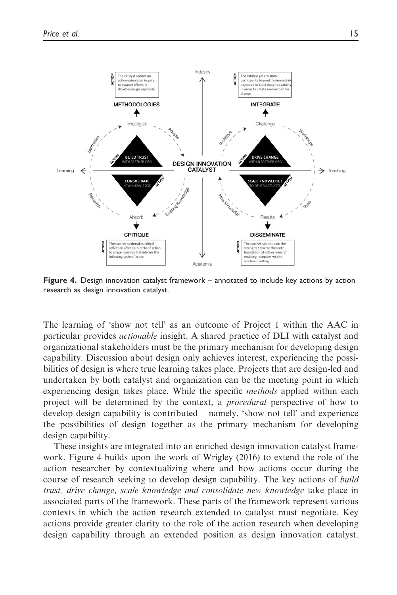

Figure 4. Design innovation catalyst framework – annotated to include key actions by action research as design innovation catalyst.

The learning of 'show not tell' as an outcome of Project 1 within the AAC in particular provides actionable insight. A shared practice of DLI with catalyst and organizational stakeholders must be the primary mechanism for developing design capability. Discussion about design only achieves interest, experiencing the possibilities of design is where true learning takes place. Projects that are design-led and undertaken by both catalyst and organization can be the meeting point in which experiencing design takes place. While the specific *methods* applied within each project will be determined by the context, a procedural perspective of how to develop design capability is contributed – namely, 'show not tell' and experience the possibilities of design together as the primary mechanism for developing design capability.

These insights are integrated into an enriched design innovation catalyst framework. Figure 4 builds upon the work of Wrigley (2016) to extend the role of the action researcher by contextualizing where and how actions occur during the course of research seeking to develop design capability. The key actions of build trust, drive change, scale knowledge and consolidate new knowledge take place in associated parts of the framework. These parts of the framework represent various contexts in which the action research extended to catalyst must negotiate. Key actions provide greater clarity to the role of the action research when developing design capability through an extended position as design innovation catalyst.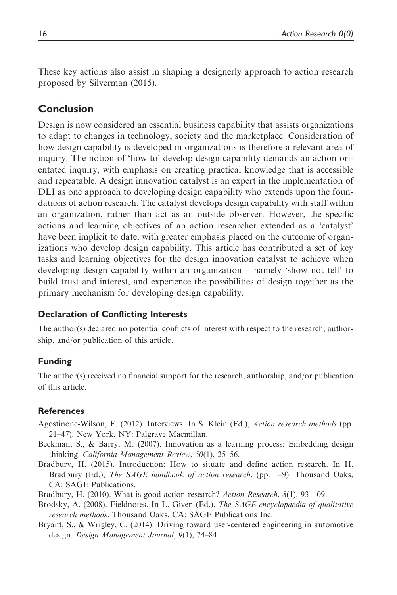These key actions also assist in shaping a designerly approach to action research proposed by Silverman (2015).

# Conclusion

Design is now considered an essential business capability that assists organizations to adapt to changes in technology, society and the marketplace. Consideration of how design capability is developed in organizations is therefore a relevant area of inquiry. The notion of 'how to' develop design capability demands an action orientated inquiry, with emphasis on creating practical knowledge that is accessible and repeatable. A design innovation catalyst is an expert in the implementation of DLI as one approach to developing design capability who extends upon the foundations of action research. The catalyst develops design capability with staff within an organization, rather than act as an outside observer. However, the specific actions and learning objectives of an action researcher extended as a 'catalyst' have been implicit to date, with greater emphasis placed on the outcome of organizations who develop design capability. This article has contributed a set of key tasks and learning objectives for the design innovation catalyst to achieve when developing design capability within an organization – namely 'show not tell' to build trust and interest, and experience the possibilities of design together as the primary mechanism for developing design capability.

### Declaration of Conflicting Interests

The author(s) declared no potential conflicts of interest with respect to the research, authorship, and/or publication of this article.

### Funding

The author(s) received no financial support for the research, authorship, and/or publication of this article.

### References

- Agostinone-Wilson, F. (2012). Interviews. In S. Klein (Ed.), Action research methods (pp. 21–47). New York, NY: Palgrave Macmillan.
- Beckman, S., & Barry, M. (2007). Innovation as a learning process: Embedding design thinking. California Management Review, 50(1), 25-56.
- Bradbury, H. (2015). Introduction: How to situate and define action research. In H. Bradbury (Ed.), The SAGE handbook of action research. (pp. 1-9). Thousand Oaks, CA: SAGE Publications.

Bradbury, H. (2010). What is good action research? Action Research, 8(1), 93–109.

- Brodsky, A. (2008). Fieldnotes. In L. Given (Ed.), The SAGE encyclopaedia of qualitative research methods. Thousand Oaks, CA: SAGE Publications Inc.
- Bryant, S., & Wrigley, C. (2014). Driving toward user-centered engineering in automotive design. Design Management Journal, 9(1), 74–84.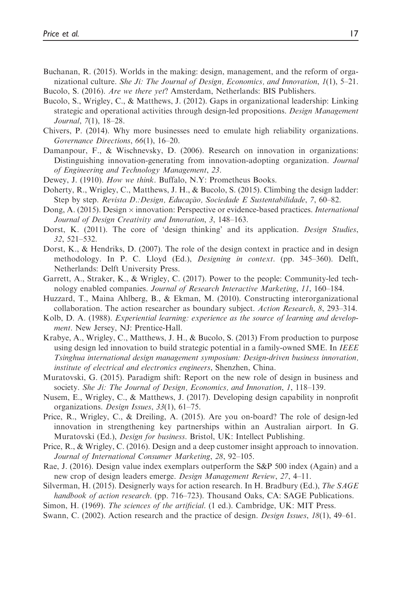- Buchanan, R. (2015). Worlds in the making: design, management, and the reform of organizational culture. She Ji: The Journal of Design, Economics, and Innovation,  $I(1)$ , 5–21. Bucolo, S. (2016). Are we there yet? Amsterdam, Netherlands: BIS Publishers.
- Bucolo, S., Wrigley, C., & Matthews, J. (2012). Gaps in organizational leadership: Linking strategic and operational activities through design-led propositions. Design Management
- Journal, 7(1), 18–28. Chivers, P. (2014). Why more businesses need to emulate high reliability organizations.
- Governance Directions, 66(1), 16–20.
- Damanpour, F., & Wischnevsky, D. (2006). Research on innovation in organizations: Distinguishing innovation-generating from innovation-adopting organization. *Journal* of Engineering and Technology Management, 23.
- Dewey, J. (1910). *How we think*. Buffalo, N.Y: Prometheus Books.
- Doherty, R., Wrigley, C., Matthews, J. H., & Bucolo, S. (2015). Climbing the design ladder: Step by step. Revista D.: Design, Educação, Sociedade E Sustentabilidade, 7, 60–82.
- Dong, A. (2015). Design  $\times$  innovation: Perspective or evidence-based practices. *International* Journal of Design Creativity and Innovation, 3, 148–163.
- Dorst, K. (2011). The core of 'design thinking' and its application. Design Studies, 32, 521–532.
- Dorst, K., & Hendriks, D. (2007). The role of the design context in practice and in design methodology. In P. C. Lloyd (Ed.), Designing in context. (pp. 345–360). Delft, Netherlands: Delft University Press.
- Garrett, A., Straker, K., & Wrigley, C. (2017). Power to the people: Community-led technology enabled companies. Journal of Research Interactive Marketing, 11, 160–184.
- Huzzard, T., Maina Ahlberg, B., & Ekman, M. (2010). Constructing interorganizational collaboration. The action researcher as boundary subject. Action Research, 8, 293–314.
- Kolb, D. A. (1988). Experiential learning: experience as the source of learning and development. New Jersey, NJ: Prentice-Hall.
- Krabye, A., Wrigley, C., Matthews, J. H., & Bucolo, S. (2013) From production to purpose using design led innovation to build strategic potential in a family-owned SME. In *IEEE* Tsinghua international design management symposium: Design-driven business innovation, institute of electrical and electronics engineers, Shenzhen, China.
- Muratovski, G. (2015). Paradigm shift: Report on the new role of design in business and society. She Ji: The Journal of Design, Economics, and Innovation, 1, 118–139.
- Nusem, E., Wrigley, C., & Matthews, J. (2017). Developing design capability in nonprofit organizations. Design Issues, 33(1), 61–75.
- Price, R., Wrigley, C., & Dreiling, A. (2015). Are you on-board? The role of design-led innovation in strengthening key partnerships within an Australian airport. In G. Muratovski (Ed.), *Design for business*. Bristol, UK: Intellect Publishing.
- Price, R., & Wrigley, C. (2016). Design and a deep customer insight approach to innovation. Journal of International Consumer Marketing, 28, 92–105.
- Rae, J. (2016). Design value index exemplars outperform the S&P 500 index (Again) and a new crop of design leaders emerge. Design Management Review, 27, 4–11.
- Silverman, H. (2015). Designerly ways for action research. In H. Bradbury (Ed.), The SAGE handbook of action research. (pp. 716–723). Thousand Oaks, CA: SAGE Publications.

Simon, H. (1969). The sciences of the artificial. (1 ed.). Cambridge, UK: MIT Press.

Swann, C. (2002). Action research and the practice of design. Design Issues, 18(1), 49–61.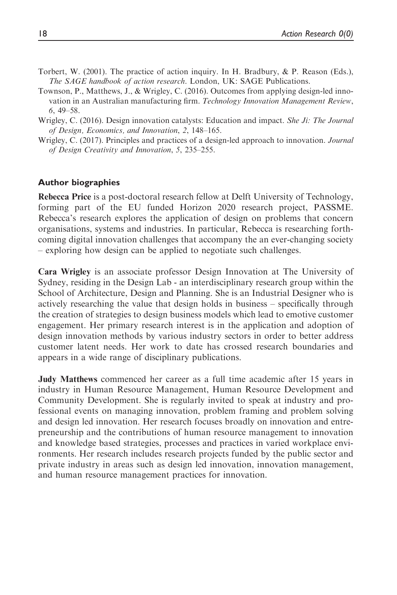- Torbert, W. (2001). The practice of action inquiry. In H. Bradbury, & P. Reason (Eds.), The SAGE handbook of action research. London, UK: SAGE Publications.
- Townson, P., Matthews, J., & Wrigley, C. (2016). Outcomes from applying design-led innovation in an Australian manufacturing firm. Technology Innovation Management Review, 6, 49–58.
- Wrigley, C. (2016). Design innovation catalysts: Education and impact. She Ji: The Journal of Design, Economics, and Innovation, 2, 148–165.
- Wrigley, C. (2017). Principles and practices of a design-led approach to innovation. Journal of Design Creativity and Innovation, 5, 235–255.

#### Author biographies

Rebecca Price is a post-doctoral research fellow at Delft University of Technology, forming part of the EU funded Horizon 2020 research project, PASSME. Rebecca's research explores the application of design on problems that concern organisations, systems and industries. In particular, Rebecca is researching forthcoming digital innovation challenges that accompany the an ever-changing society – exploring how design can be applied to negotiate such challenges.

Cara Wrigley is an associate professor Design Innovation at The University of Sydney, residing in the Design Lab - an interdisciplinary research group within the School of Architecture, Design and Planning. She is an Industrial Designer who is actively researching the value that design holds in business – specifically through the creation of strategies to design business models which lead to emotive customer engagement. Her primary research interest is in the application and adoption of design innovation methods by various industry sectors in order to better address customer latent needs. Her work to date has crossed research boundaries and appears in a wide range of disciplinary publications.

Judy Matthews commenced her career as a full time academic after 15 years in industry in Human Resource Management, Human Resource Development and Community Development. She is regularly invited to speak at industry and professional events on managing innovation, problem framing and problem solving and design led innovation. Her research focuses broadly on innovation and entrepreneurship and the contributions of human resource management to innovation and knowledge based strategies, processes and practices in varied workplace environments. Her research includes research projects funded by the public sector and private industry in areas such as design led innovation, innovation management, and human resource management practices for innovation.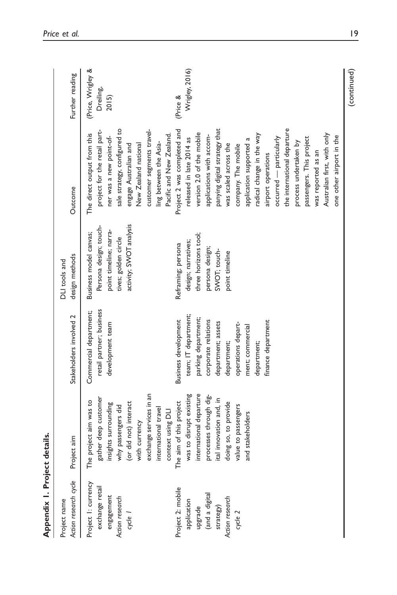| Appendix I. Project                                                                                                                                                                            | details.                                                                                                                                                                                                                                                                                                                                                                                                                   |                                                                                                                                                                                                                                                                                                 |                                                                                                                                                                                                                                                         |                                                                                                                                                                                                                                                                                                                                                                                                                                                                                                                                                                                                                                                                                                                                               |                                                                       |
|------------------------------------------------------------------------------------------------------------------------------------------------------------------------------------------------|----------------------------------------------------------------------------------------------------------------------------------------------------------------------------------------------------------------------------------------------------------------------------------------------------------------------------------------------------------------------------------------------------------------------------|-------------------------------------------------------------------------------------------------------------------------------------------------------------------------------------------------------------------------------------------------------------------------------------------------|---------------------------------------------------------------------------------------------------------------------------------------------------------------------------------------------------------------------------------------------------------|-----------------------------------------------------------------------------------------------------------------------------------------------------------------------------------------------------------------------------------------------------------------------------------------------------------------------------------------------------------------------------------------------------------------------------------------------------------------------------------------------------------------------------------------------------------------------------------------------------------------------------------------------------------------------------------------------------------------------------------------------|-----------------------------------------------------------------------|
| Action research cycle<br>Project name                                                                                                                                                          | Project aim                                                                                                                                                                                                                                                                                                                                                                                                                | Stakeholders involved 2                                                                                                                                                                                                                                                                         | design methods<br>DLI tools and                                                                                                                                                                                                                         | Outcome                                                                                                                                                                                                                                                                                                                                                                                                                                                                                                                                                                                                                                                                                                                                       | Further reading                                                       |
| Project I: currency<br>exchange retail<br>Project 2: mobile<br>upgrade<br>(and a digital<br>engagement<br>Action research<br>cycle 1<br>Action research<br>application<br>strategy)<br>cycle 2 | exchange services in an<br>international departure<br>was to disrupt existing<br>processes through dig-<br>gather deep customer<br>ital innovation and, in<br>he project aim was to<br>he aim of this project<br>doing so, to provide<br>(or did not) interact<br>insights surrounding<br>value to passengers<br>why passengers did<br>international travel<br>context using DLI<br>and stakeholders<br>with currency<br>F | retail partner; business<br>Commercial department;<br>team; IT department;<br>parking department;<br><b>Business development</b><br>corporate relations<br>finance department<br>department; assets<br>operations depart-<br>development team<br>ment; commercial<br>department;<br>department; | activity; SWOT analysis<br>Persona design; touch-<br>point timeline; narra-<br>Business model canvas;<br>three horizons tool;<br>tives; golden circle<br>design; narratives;<br>Reframing; persona<br>persona design;<br>SWOT; touch-<br>point timeline | sale strategy, configured to<br>panying digital strategy that<br>customer segments travel-<br>Project 2 was completed and<br>the international departure<br>project for the retail part-<br>version 2.0 of the mobile<br>Pacific and New Zealand.<br>The direct output from this<br>Australian first, with only<br>radical change in the way<br>applications with accom-<br>one other airport in the<br>ner was a new point-of-<br>passengers. This project<br>released in late 2014 as<br>occurred - particularly<br>application supported a<br>process undertaken by<br>ling between the Asia-<br>New Zealand national<br>engage Australian and<br>was scaled across the<br>company. The mobile<br>was reported as an<br>airport operations | (Price, Wrigley &<br>Wrigley, 2016)<br>Dreiling,<br>2015)<br>(Price & |
|                                                                                                                                                                                                |                                                                                                                                                                                                                                                                                                                                                                                                                            |                                                                                                                                                                                                                                                                                                 |                                                                                                                                                                                                                                                         |                                                                                                                                                                                                                                                                                                                                                                                                                                                                                                                                                                                                                                                                                                                                               | (continued)                                                           |